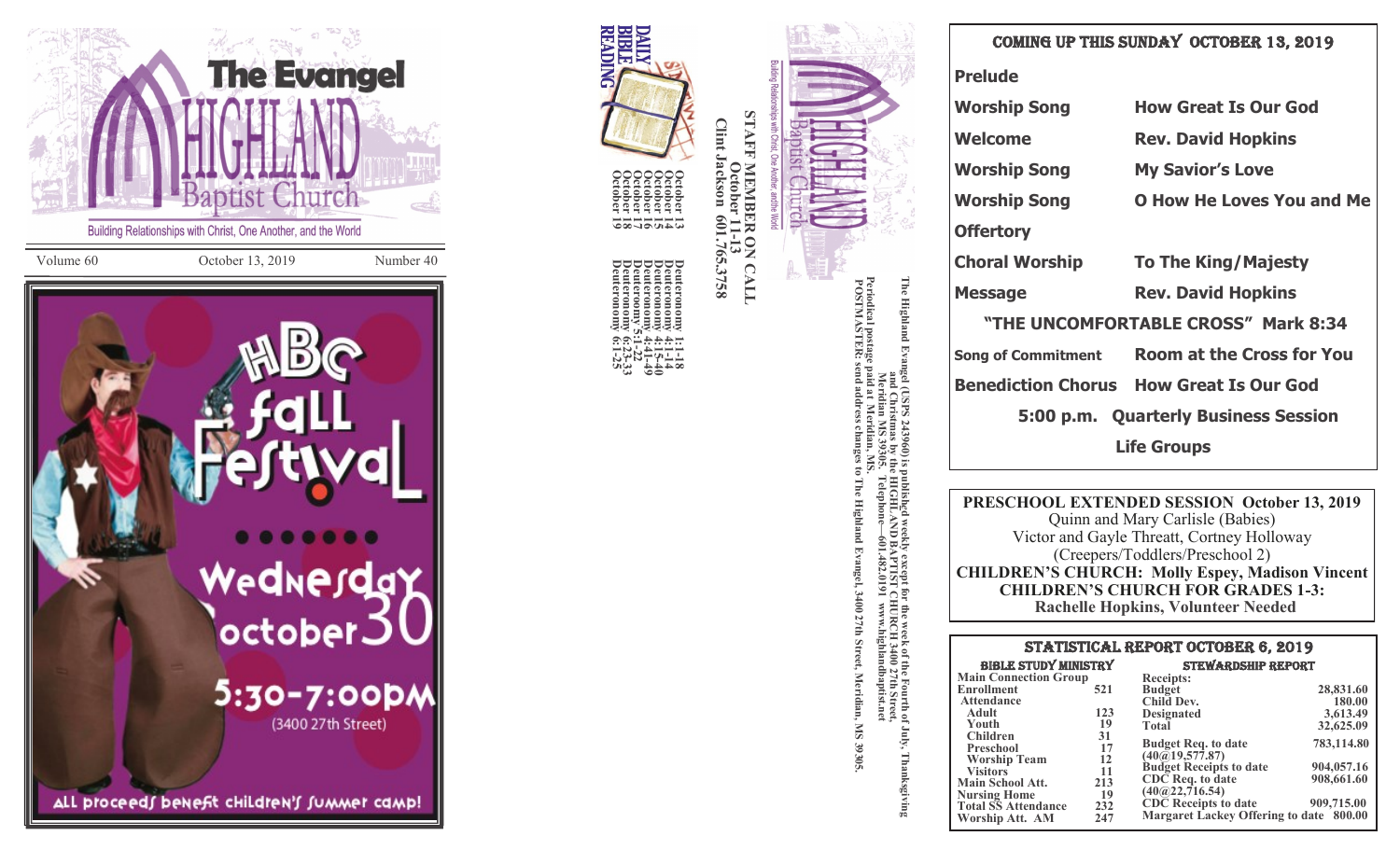



**October 13**

**Deuteronomy 1:1**

October 13<br>
October 14<br>
October 14<br>
October 16<br>
Deuteronomy 4:1-14<br>
October 16<br>
Deuteronomy 4:41-49<br>
October 19<br>
Deuteronomy 6:1-25<br>
October 19<br>
Deuteronomy 6:1-25<br>
October 19<br>
Deuteronomy 6:23-33<br>
October 19<br>
Deuteronomy

| <b>Prelude</b>                      |                                                |  |
|-------------------------------------|------------------------------------------------|--|
| <b>Worship Song</b>                 | <b>How Great Is Our God</b>                    |  |
| <b>Welcome</b>                      | <b>Rev. David Hopkins</b>                      |  |
| <b>Worship Song</b>                 | <b>My Savior's Love</b>                        |  |
| <b>Worship Song</b>                 | <b>O How He Loves You and Me</b>               |  |
| <b>Offertory</b>                    |                                                |  |
| Choral Worship                      | <b>To The King/Majesty</b>                     |  |
| <b>Message</b>                      | <b>Rev. David Hopkins</b>                      |  |
| "THE UNCOMFORTABLE CROSS" Mark 8:34 |                                                |  |
|                                     | Song of Commitment Room at the Cross for You   |  |
|                                     | <b>Benediction Chorus How Great Is Our God</b> |  |
|                                     | 5:00 p.m. Quarterly Business Session           |  |
| <b>Life Groups</b>                  |                                                |  |

**PRESCHOOL EXTENDED SESSION October 13, 2019** Quinn and Mary Carlisle (Babies) Victor and Gayle Threatt, Cortney Holloway (Creepers/Toddlers/Preschool 2) **CHILDREN 'S CHURCH: Molly Espey, Madison Vincent CHILDREN 'S CHURCH FOR GRADES 1 -3: Rachelle Hopkins, Volunteer Needed**

| <b>STATISTICAL REPORT OCTOBER 6, 2019</b> |          |                                                              |            |  |
|-------------------------------------------|----------|--------------------------------------------------------------|------------|--|
| <b>BIBLE STUDY MINISTRY</b>               |          | <b>STEWARDSHIP REPORT</b>                                    |            |  |
| <b>Main Connection Group</b>              |          | <b>Receipts:</b>                                             |            |  |
| Enrollment                                | 521      | <b>Budget</b>                                                | 28,831.60  |  |
| <b>Attendance</b>                         |          | Child Dev.                                                   | 180.00     |  |
| Adult                                     | 123      | <b>Designated</b>                                            | 3,613.49   |  |
| Youth                                     | 19       | <b>Total</b>                                                 | 32,625.09  |  |
| <b>Children</b><br><b>Preschool</b>       | 31<br>17 | <b>Budget Req. to date</b><br>$(40\textcircled{a}19,577.87)$ | 783,114.80 |  |
| <b>Worship Team</b><br><b>Visitors</b>    | 12<br>11 | <b>Budget Receipts to date</b>                               | 904,057.16 |  |
| <b>Main School Att.</b>                   | 213      | CDC Req. to date                                             | 908,661.60 |  |
| <b>Nursing Home</b>                       | 19       | (40@22,716.54)                                               |            |  |
| <b>Total SS Attendance</b>                | 232      | <b>CDC</b> Receipts to date                                  | 909,715.00 |  |
| Worship Att. AM                           | 247      | Margaret Lackey Offering to date 800.00                      |            |  |